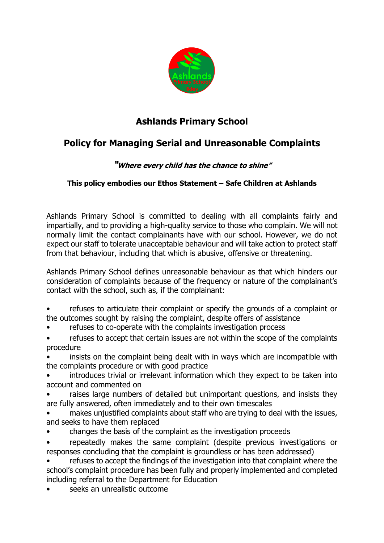

## **Ashlands Primary School**

## **Policy for Managing Serial and Unreasonable Complaints**

## **"Where every child has the chance to shine"**

## **This policy embodies our Ethos Statement – Safe Children at Ashlands**

Ashlands Primary School is committed to dealing with all complaints fairly and impartially, and to providing a high-quality service to those who complain. We will not normally limit the contact complainants have with our school. However, we do not expect our staff to tolerate unacceptable behaviour and will take action to protect staff from that behaviour, including that which is abusive, offensive or threatening.

Ashlands Primary School defines unreasonable behaviour as that which hinders our consideration of complaints because of the frequency or nature of the complainant's contact with the school, such as, if the complainant:

• refuses to articulate their complaint or specify the grounds of a complaint or the outcomes sought by raising the complaint, despite offers of assistance

- refuses to co-operate with the complaints investigation process
- refuses to accept that certain issues are not within the scope of the complaints procedure
- insists on the complaint being dealt with in ways which are incompatible with the complaints procedure or with good practice
- introduces trivial or irrelevant information which they expect to be taken into account and commented on
- raises large numbers of detailed but unimportant questions, and insists they are fully answered, often immediately and to their own timescales
- makes unjustified complaints about staff who are trying to deal with the issues, and seeks to have them replaced
- changes the basis of the complaint as the investigation proceeds
- repeatedly makes the same complaint (despite previous investigations or responses concluding that the complaint is groundless or has been addressed)
- refuses to accept the findings of the investigation into that complaint where the school's complaint procedure has been fully and properly implemented and completed including referral to the Department for Education
- seeks an unrealistic outcome.